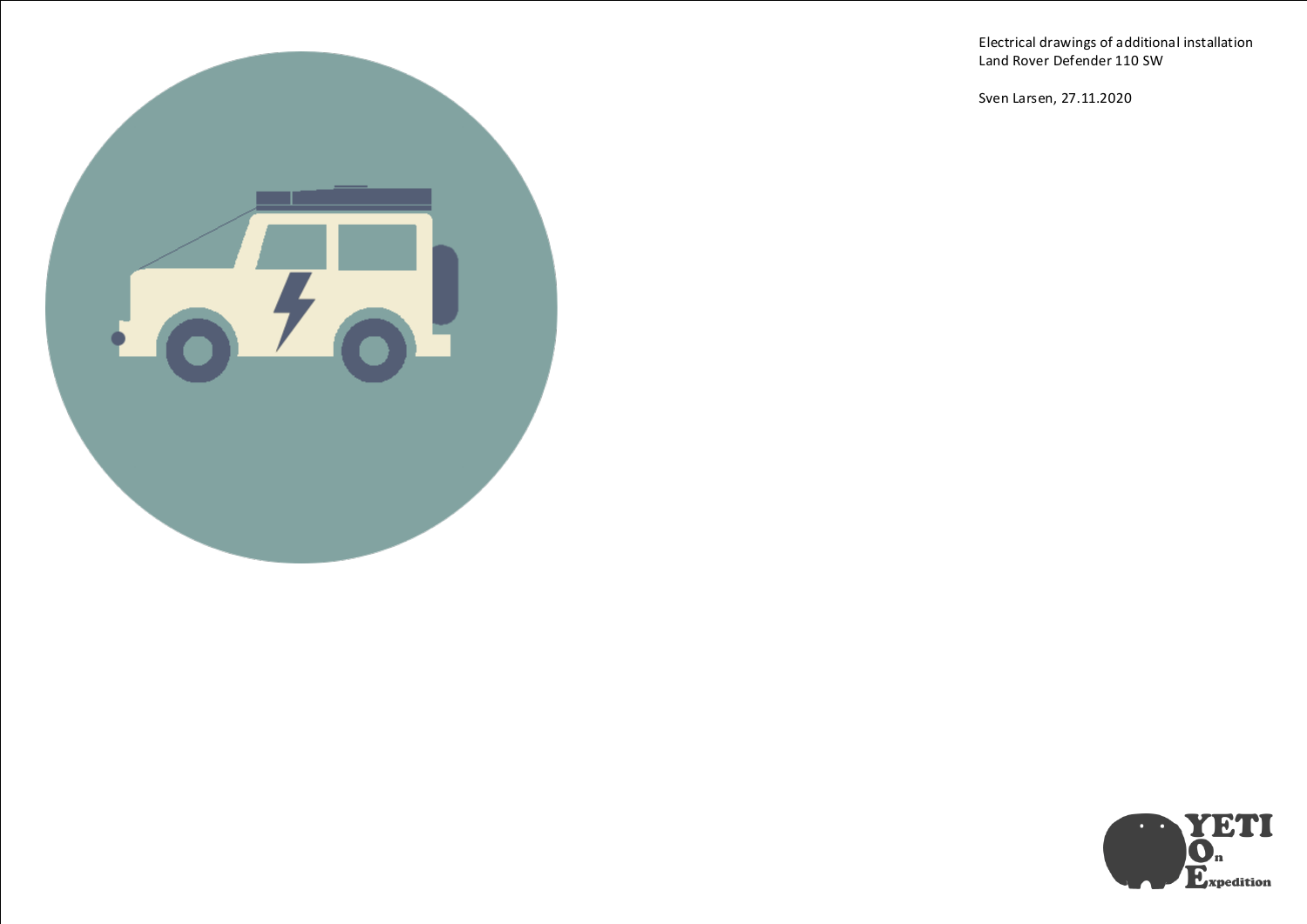Electrical drawings of additional installation Land Rover Defender 110 SW

Sven Larsen, 27.11.2020



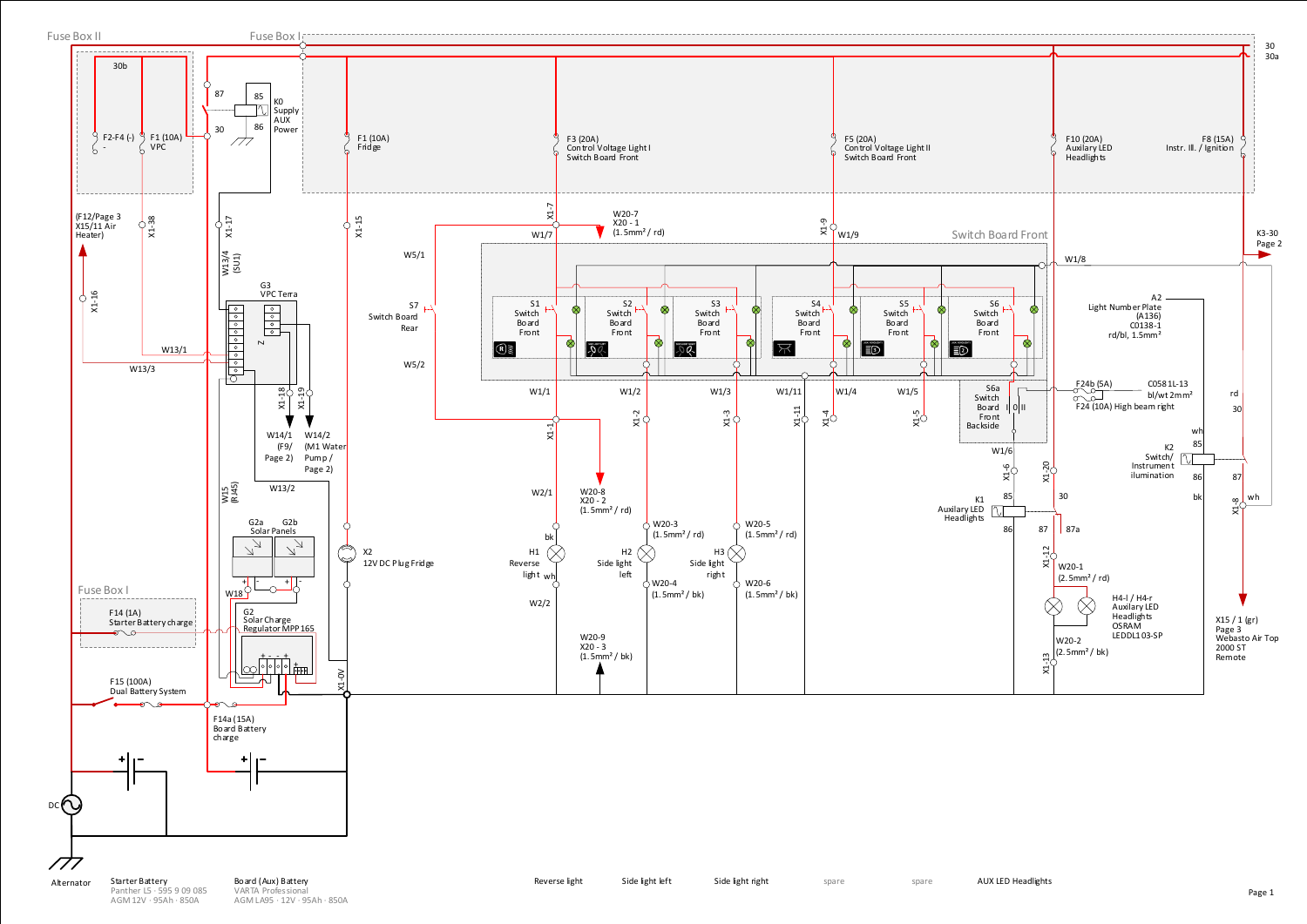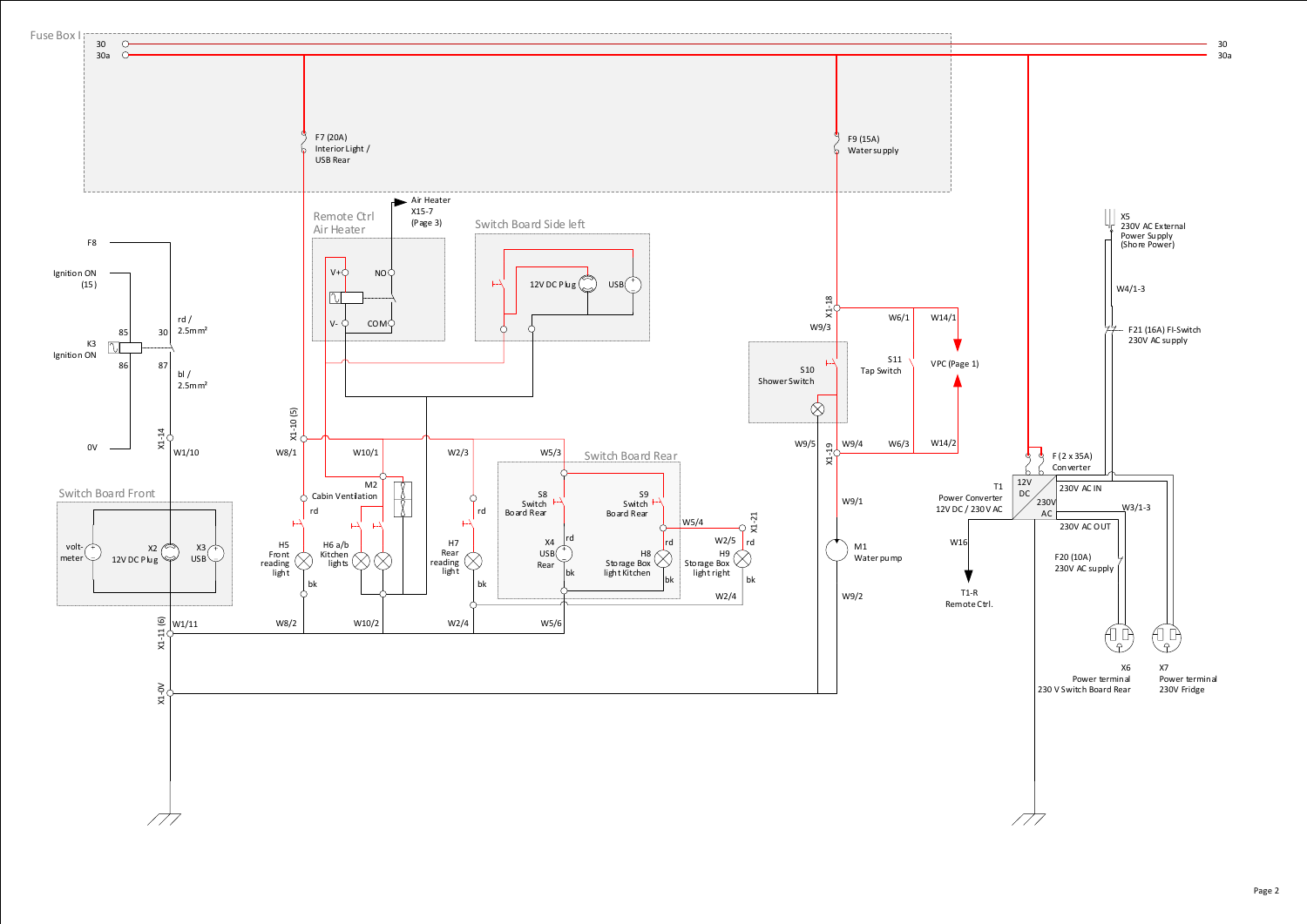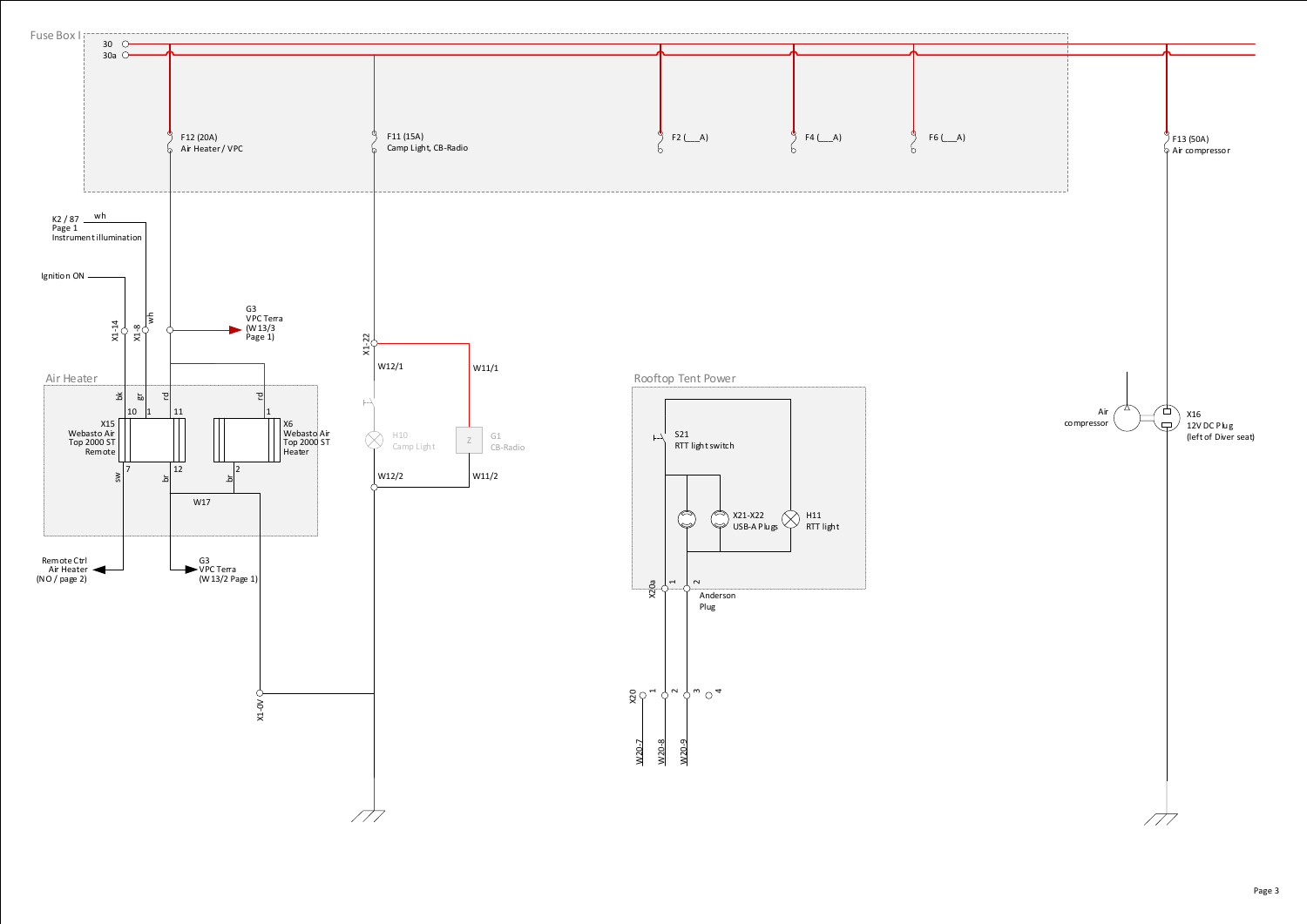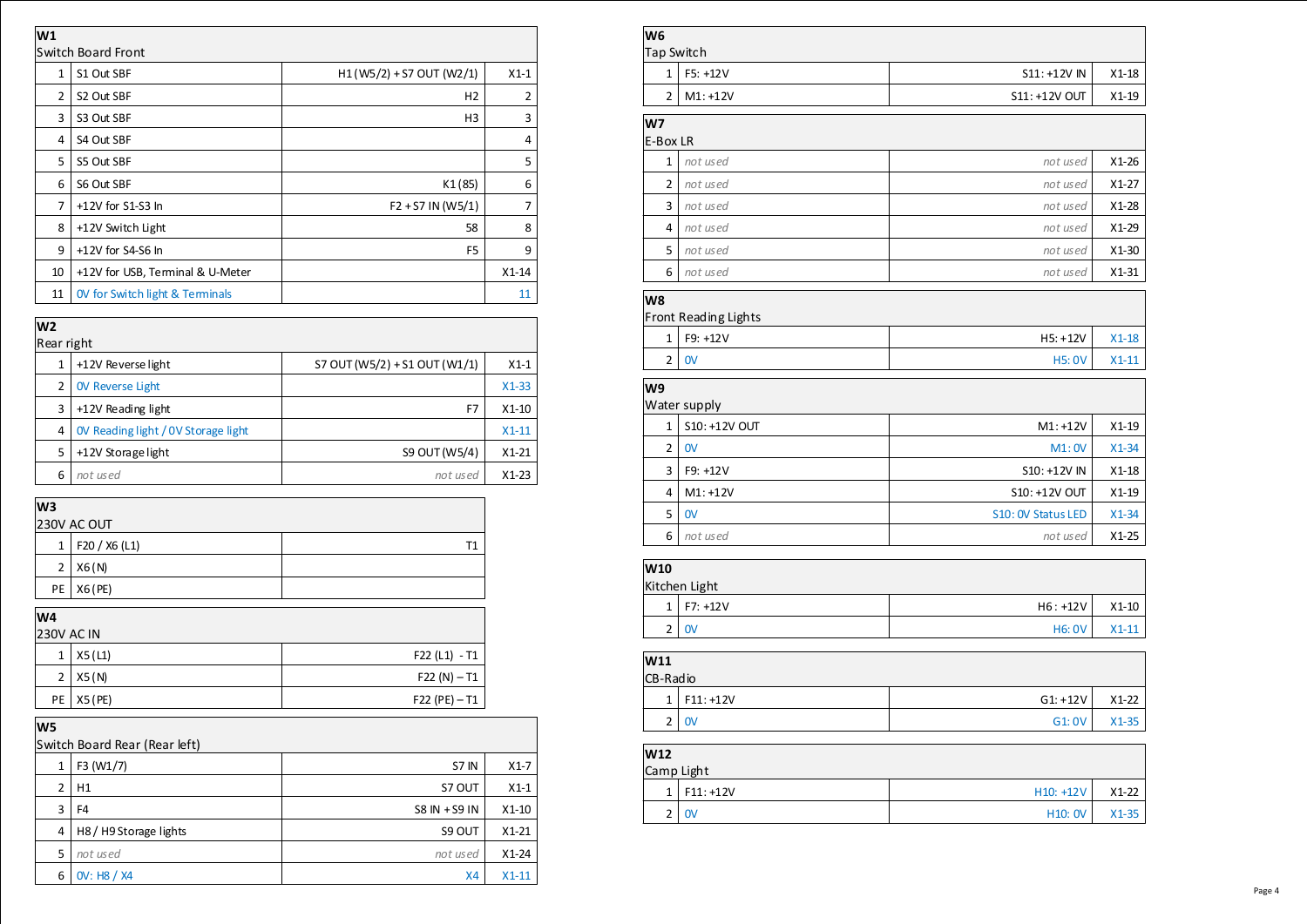| W1             |                                            |                            |         |
|----------------|--------------------------------------------|----------------------------|---------|
|                | Switch Board Front                         |                            |         |
| $\mathbf{1}$   | S1 Out SBF                                 | $H1(W5/2) + S7 OUT (W2/1)$ | $X1-1$  |
| 2              | S2 Out SBF                                 | H2                         | 2       |
| 3              | S3 Out SBF                                 | H3                         | 3       |
| 4              | S4 Out SBF                                 |                            | 4       |
| 5              | S5 Out SBF                                 |                            | 5       |
| 6              | S6 Out SBF                                 | K1(85)                     | 6       |
| $\overline{7}$ | +12V for S1-S3 In                          | $F2 + S7 IN (W5/1)$        | 7       |
| 8              | +12V Switch Light                          | 58                         | 8       |
| 9              | +12V for S4-S6 In                          | F <sub>5</sub>             | 9       |
| 10             | +12V for USB, Terminal & U-Meter           |                            | $X1-14$ |
| 11             | <b>OV for Switch light &amp; Terminals</b> |                            | 11      |

| W <sub>2</sub> |                                     |                               |         |  |  |
|----------------|-------------------------------------|-------------------------------|---------|--|--|
| Rear right     |                                     |                               |         |  |  |
|                | +12V Reverse light                  | S7 OUT (W5/2) + S1 OUT (W1/1) | $X1-1$  |  |  |
| 2              | <b>OV Reverse Light</b>             |                               | $X1-33$ |  |  |
| 3              | +12V Reading light                  | F7                            | $X1-10$ |  |  |
| 4              | OV Reading light / OV Storage light |                               | $X1-11$ |  |  |
| 5              | +12V Storage light                  | S9 OUT (W5/4)                 | $X1-21$ |  |  |
| 6              | not used                            | not used                      | $X1-23$ |  |  |

| W3<br>230V AC OUT |               |    |  |  |
|-------------------|---------------|----|--|--|
| 1                 | F20 / X6 (L1) | Т1 |  |  |
| 2                 | X6(N)         |    |  |  |
| PE                | X6 (PE)       |    |  |  |
| W4                |               |    |  |  |

| <b>230V AC IN</b> |              |                 |  |  |
|-------------------|--------------|-----------------|--|--|
| 1 <sup>1</sup>    | X5 (L1)      | F22 (L1) - T1   |  |  |
| 2 <sub>1</sub>    | X5(N)        | $F22(N) - T1$   |  |  |
|                   | PE   X5 (PE) | $F22 (PE) - T1$ |  |  |

| W5 |                               |                 |         |  |  |
|----|-------------------------------|-----------------|---------|--|--|
|    | Switch Board Rear (Rear left) |                 |         |  |  |
| 1  | F3 (W1/7)                     | S7 IN           | $X1-7$  |  |  |
| 2  | H1                            | S7 OUT          | $X1-1$  |  |  |
| 3  | F4                            | $SS IN + SS IN$ | $X1-10$ |  |  |
| 4  | H8/H9 Storage lights          | S9 OUT          | $X1-21$ |  |  |
| 5  | not used                      | not used        | $X1-24$ |  |  |
| 6  | OV: H8 / X4                   | <b>X4</b>       | $X1-11$ |  |  |

| Tap Switch     |                         |                    |         |
|----------------|-------------------------|--------------------|---------|
| $\mathbf{1}$   | F5: +12V                | S11: +12V IN       | $X1-18$ |
| $\overline{2}$ | $M1: +12V$              | S11: +12V OUT      | $X1-19$ |
| W7             |                         |                    |         |
| E-Box LR       |                         |                    |         |
| $\mathbf{1}$   | not used                | not used           | $X1-26$ |
| 2              | not used                | not used           | $X1-27$ |
| 3              | not used                | not used           | $X1-28$ |
| 4              | not used                | not used           | $X1-29$ |
| 5              | not used                | not used           | $X1-30$ |
| 6              | not used                | not used           | $X1-31$ |
| W8             |                         |                    |         |
|                | Front Reading Lights    |                    |         |
| 1              | F9: +12V                | $H5: +12V$         | $X1-18$ |
| $\overline{2}$ | $\mathbf{O}$            | <b>H5:0V</b>       | $X1-11$ |
| W9             |                         |                    |         |
|                | Water supply            |                    |         |
| 1              | S10: +12V OUT           | $M1: +12V$         | $X1-19$ |
| 2              | 0V                      | M1:0V              | $X1-34$ |
| 3              | F9: +12V                | S10: +12V IN       | $X1-18$ |
| 4              | $M1: +12V$              | S10: +12V OUT      | $X1-19$ |
| 5              | $\mathsf{O} \mathsf{V}$ | S10: OV Status LED | $X1-34$ |
| 6              | not used                | not used           | $X1-25$ |
| W10            |                         |                    |         |
|                | Kitchen Light           |                    |         |
| $\mathbf{1}$   | $F7: +12V$              | $H6: +12V$         | $X1-10$ |
| $\overline{2}$ | $\mathsf{O}\mathsf{V}$  | <b>H6: 0V</b>      | $X1-11$ |
|                |                         |                    |         |
| W11            |                         |                    |         |
| CB-Radio       |                         |                    |         |
| $\mathbf{1}$   | $F11: +12V$             | $G1: +12V$         | $X1-22$ |
|                | 2 0V                    | G1:0V              | $X1-35$ |
| W12            |                         |                    |         |
| Camp Light     |                         |                    |         |
|                | $1$   F11: +12V         | H10: +12V          | $X1-22$ |
| $\overline{2}$ | $\mathsf{O}\mathsf{V}$  | H10: 0V            | $X1-35$ |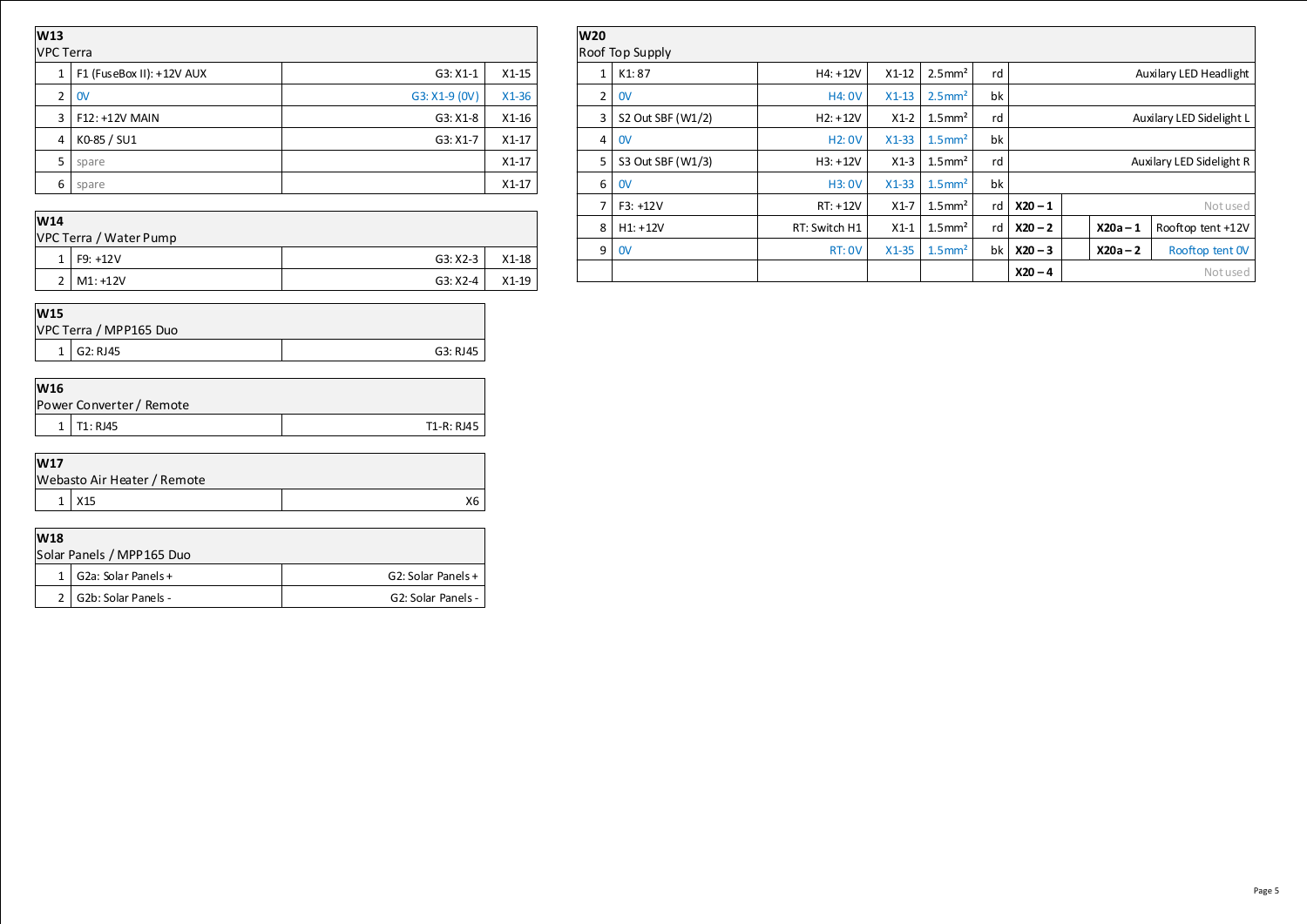| W13<br><b>VPC Terra</b> |                           |               |         |
|-------------------------|---------------------------|---------------|---------|
| $\mathbf{1}$            | F1 (FuseBox II): +12V AUX | $G3: X1-1$    | $X1-15$ |
| $\overline{2}$          | 0V                        | G3: X1-9 (0V) | $X1-36$ |
| 3                       | F12: +12V MAIN            | $G3: X1-8$    | $X1-16$ |
| 4                       | K0-85 / SU1               | $G3: X1-7$    | $X1-17$ |
| 5                       | spare                     |               | $X1-17$ |
| 6                       | spare                     |               | $X1-17$ |
| <b>1874 A</b>           |                           |               |         |

| <b>W20</b>             |                     |               |         |                       |    |                          |            |                        |
|------------------------|---------------------|---------------|---------|-----------------------|----|--------------------------|------------|------------------------|
| <b>Roof Top Supply</b> |                     |               |         |                       |    |                          |            |                        |
| 1                      | K <sub>1</sub> : 87 | $H4: +12V$    | $X1-12$ | $2.5$ mm <sup>2</sup> | rd |                          |            | Auxilary LED Headlight |
| $\overline{2}$         | 0V                  | <b>H4: 0V</b> | $X1-13$ | $2.5$ mm <sup>2</sup> | bk |                          |            |                        |
| 3                      | S2 Out SBF (W1/2)   | $H2: +12V$    | $X1-2$  | $1.5$ mm <sup>2</sup> | rd | Auxilary LED Sidelight L |            |                        |
| 4                      | 0V                  | <b>H2: 0V</b> | $X1-33$ | $1.5$ mm <sup>2</sup> | bk |                          |            |                        |
| 5.                     | S3 Out SBF (W1/3)   | $H3: +12V$    | $X1-3$  | $1.5$ mm <sup>2</sup> | rd | Auxilary LED Sidelight R |            |                        |
| 6                      | $\mathsf{O}$        | <b>H3: 0V</b> | $X1-33$ | $1.5$ mm <sup>2</sup> | bk |                          |            |                        |
| 7                      | $F3: +12V$          | $RT: +12V$    | $X1-7$  | $1.5$ mm <sup>2</sup> | rd | $X20 - 1$<br>Notused     |            |                        |
| 8                      | $H1: +12V$          | RT: Switch H1 | $X1-1$  | $1.5$ mm <sup>2</sup> | rd | $X20 - 2$                | $X20a - 1$ | Rooftop tent +12V      |
| 9                      | 0V                  | <b>RT: 0V</b> | $X1-35$ | $1.5$ mm <sup>2</sup> | bk | $X20 - 3$                | $X20a - 2$ | Rooftop tent OV        |
|                        |                     |               |         |                       |    | $X20 - 4$                |            | Notused                |

| W14                    |                |            |         |  |  |
|------------------------|----------------|------------|---------|--|--|
| VPC Terra / Water Pump |                |            |         |  |  |
|                        | $1$   F9: +12V | $G3: X2-3$ | $X1-18$ |  |  |
|                        | $2$   M1: +12V | $G3: X2-4$ | X1-19   |  |  |

| <b>W15</b> |                        |          |  |
|------------|------------------------|----------|--|
|            | VPC Terra / MPP165 Duo |          |  |
|            | G2: RJ45               | G3: RJ45 |  |

| W16            |                          |            |  |  |
|----------------|--------------------------|------------|--|--|
|                | Power Converter / Remote |            |  |  |
| 1 <sup>1</sup> | T1: RJ45                 | T1-R: RJ45 |  |  |

| <b>W17</b> |                             |    |  |  |
|------------|-----------------------------|----|--|--|
|            | Webasto Air Heater / Remote |    |  |  |
|            | X15                         | Х6 |  |  |

| W <sub>18</sub>           |                           |                    |  |
|---------------------------|---------------------------|--------------------|--|
| Solar Panels / MPP165 Duo |                           |                    |  |
|                           | 1   G2a: Solar Panels +   | G2: Solar Panels + |  |
|                           | $2$   G2b: Solar Panels - | G2: Solar Panels - |  |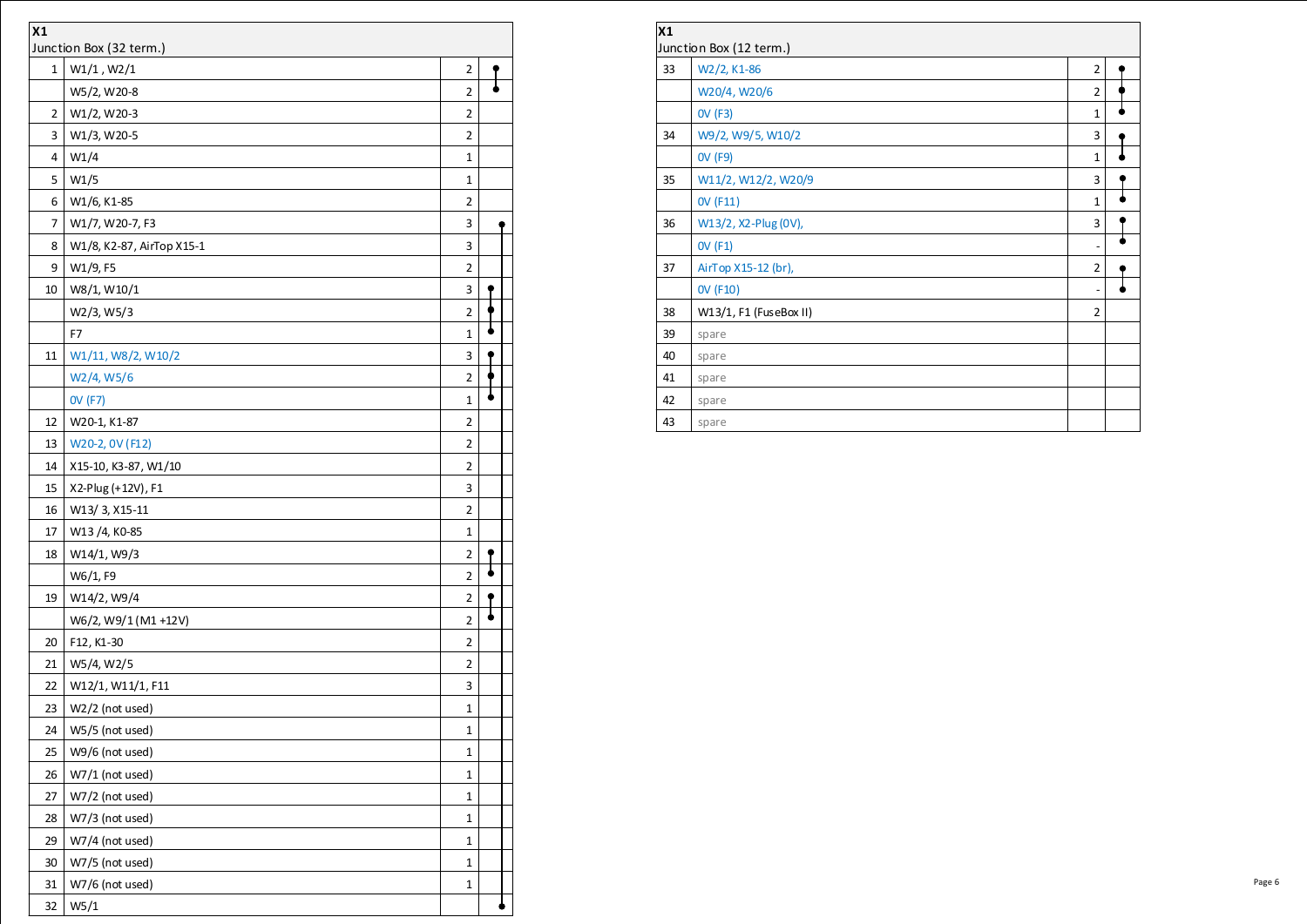| X1                                              |                            |                |  |  |
|-------------------------------------------------|----------------------------|----------------|--|--|
| Junction Box (32 term.)<br>W1/1, W2/1<br>1<br>2 |                            |                |  |  |
|                                                 |                            | $\overline{2}$ |  |  |
| 2                                               | W5/2, W20-8<br>W1/2, W20-3 | 2              |  |  |
| 3                                               |                            | 2              |  |  |
| 4                                               | W1/3, W20-5                |                |  |  |
|                                                 | W1/4                       | 1              |  |  |
| 5                                               | W1/5                       | 1              |  |  |
| 6                                               | W1/6, K1-85                | $\overline{2}$ |  |  |
| 7                                               | W1/7, W20-7, F3            | 3              |  |  |
| 8                                               | W1/8, K2-87, AirTop X15-1  | 3              |  |  |
| 9                                               | W1/9, F5                   | 2              |  |  |
| 10                                              | W8/1, W10/1                | 3              |  |  |
|                                                 | W2/3, W5/3                 | $\overline{2}$ |  |  |
|                                                 | F7                         | 1              |  |  |
| 11                                              | W1/11, W8/2, W10/2         | 3              |  |  |
|                                                 | W2/4, W5/6                 | $\overline{2}$ |  |  |
|                                                 | 0V (F7)                    | 1              |  |  |
| 12                                              | W20-1, K1-87               | 2              |  |  |
| 13                                              | W20-2, 0V (F12)            | 2              |  |  |
| 14                                              | X15-10, K3-87, W1/10       | 2              |  |  |
| 15                                              | X2-Plug (+12V), F1         | 3              |  |  |
| 16                                              | W13/3, X15-11              | 2              |  |  |
| 17                                              | W13 /4, K0-85              | 1              |  |  |
| 18                                              | W14/1, W9/3                | 2              |  |  |
|                                                 | W6/1, F9                   | $\overline{2}$ |  |  |
| 19                                              | W14/2, W9/4                | 2              |  |  |
|                                                 | W6/2, W9/1 (M1 +12V)       | $\overline{2}$ |  |  |
| 20                                              | F12, K1-30                 | 2              |  |  |
| 21                                              | W5/4, W2/5                 | 2              |  |  |
| 22                                              | W12/1, W11/1, F11          | 3              |  |  |
| 23                                              | W2/2 (not used)            | 1              |  |  |
| 24                                              | W5/5 (not used)            | 1              |  |  |
| 25                                              | W9/6 (not used)            | 1              |  |  |
| 26                                              | W7/1 (not used)            | $\mathbf 1$    |  |  |
| 27                                              | W7/2 (not used)            | 1              |  |  |
| 28                                              | W7/3 (not used)            | $\mathbf 1$    |  |  |
| 29                                              | W7/4 (not used)            | 1              |  |  |
| 30                                              | W7/5 (not used)            | $\mathbf 1$    |  |  |
| 31                                              | W7/6 (not used)            | 1              |  |  |
| 32                                              | W <sub>5</sub> /1          |                |  |  |

| X <sub>1</sub> |                         |                              |  |  |
|----------------|-------------------------|------------------------------|--|--|
|                | Junction Box (12 term.) |                              |  |  |
| 33             | W2/2, K1-86             | 2                            |  |  |
|                | W20/4, W20/6            | 2                            |  |  |
|                | <b>OV (F3)</b>          | $\mathbf{1}$                 |  |  |
| 34             | W9/2, W9/5, W10/2       | 3                            |  |  |
|                | <b>OV (F9)</b>          | $\mathbf{1}$                 |  |  |
| 35             | W11/2, W12/2, W20/9     | 3                            |  |  |
|                | OV (F11)                | $\mathbf{1}$                 |  |  |
| 36             | W13/2, X2-Plug (0V),    | 3                            |  |  |
|                | <b>OV (F1)</b>          | $\overline{\phantom{0}}$     |  |  |
| 37             | AirTop X15-12 (br),     | 2                            |  |  |
|                | <b>OV (F10)</b>         | $\qquad \qquad \blacksquare$ |  |  |
| 38             | W13/1, F1 (FuseBox II)  | 2                            |  |  |
| 39             | spare                   |                              |  |  |
| 40             | spare                   |                              |  |  |
| 41             | spare                   |                              |  |  |
| 42             | spare                   |                              |  |  |
| 43             | spare                   |                              |  |  |